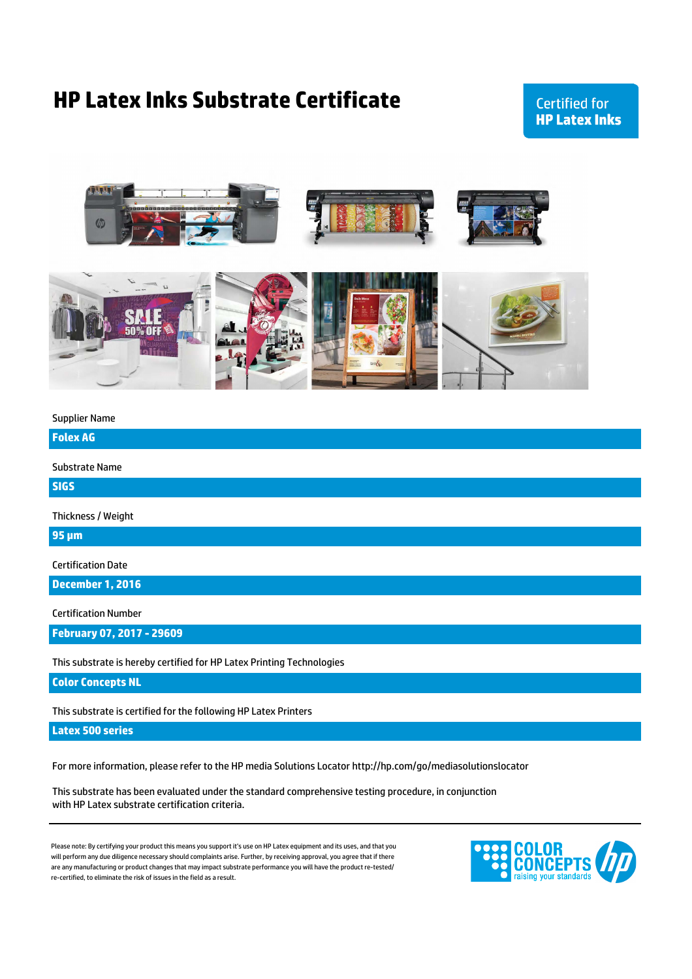## **HP Latex Inks Substrate Certificate**

## **Certified for HP Latex Inks**



Supplier Name

**Folex AG**

Substrate Name

**SIGS**

Thickness / Weight

**95 µm**

Certification Date

**December 1, 2016**

Certification Number

**February 07, 2017 - 29609**

This substrate is hereby certified for HP Latex Printing Technologies

**Color Concepts NL**

This substrate is certified for the following HP Latex Printers

**Latex 500 series**

For more information, please refer to the HP media Solutions Locator http://hp.com/go/mediasolutionslocator

This substrate has been evaluated under the standard comprehensive testing procedure, in conjunction with HP Latex substrate certification criteria.

are any manufacturing or product changes that may impact substrate performance you will have the product re-tested/ re-certified, to eliminate the risk of issues in the field as a result. Please note: By certifying your product this means you support it's use on HP Latex equipment and its uses, and that you will perform any due diligence necessary should complaints arise. Further, by receiving approval, you agree that if there

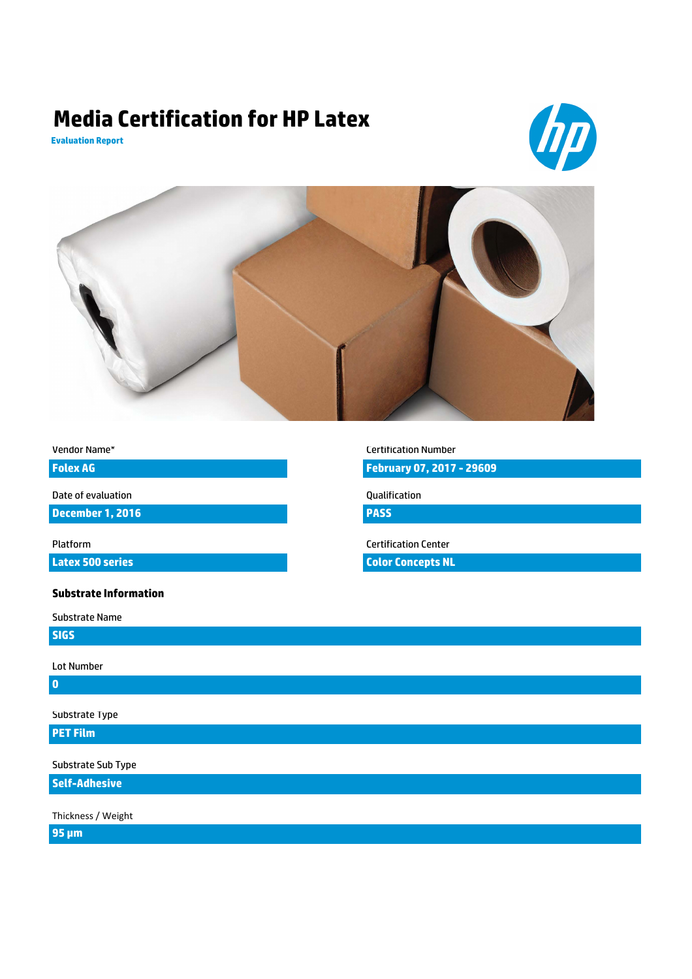# **Media Certification for HP Latex**







| Vendor Name* |  |
|--------------|--|
|--------------|--|

**Folex AG**

Date of evaluation

**December 1, 2016**

**Latex 500 series**

#### **Substrate Information**

Substrate Name

**SIGS**

Lot Number

**0**

Substrate Type

## **PET Film**

Substrate Sub Type

**Self-Adhesive**

Thickness / Weight

**95 µm**

Certification Number

**February 07, 2017 - 29609**

Qualification

**PASS**

Platform Certification Center

**Color Concepts NL**